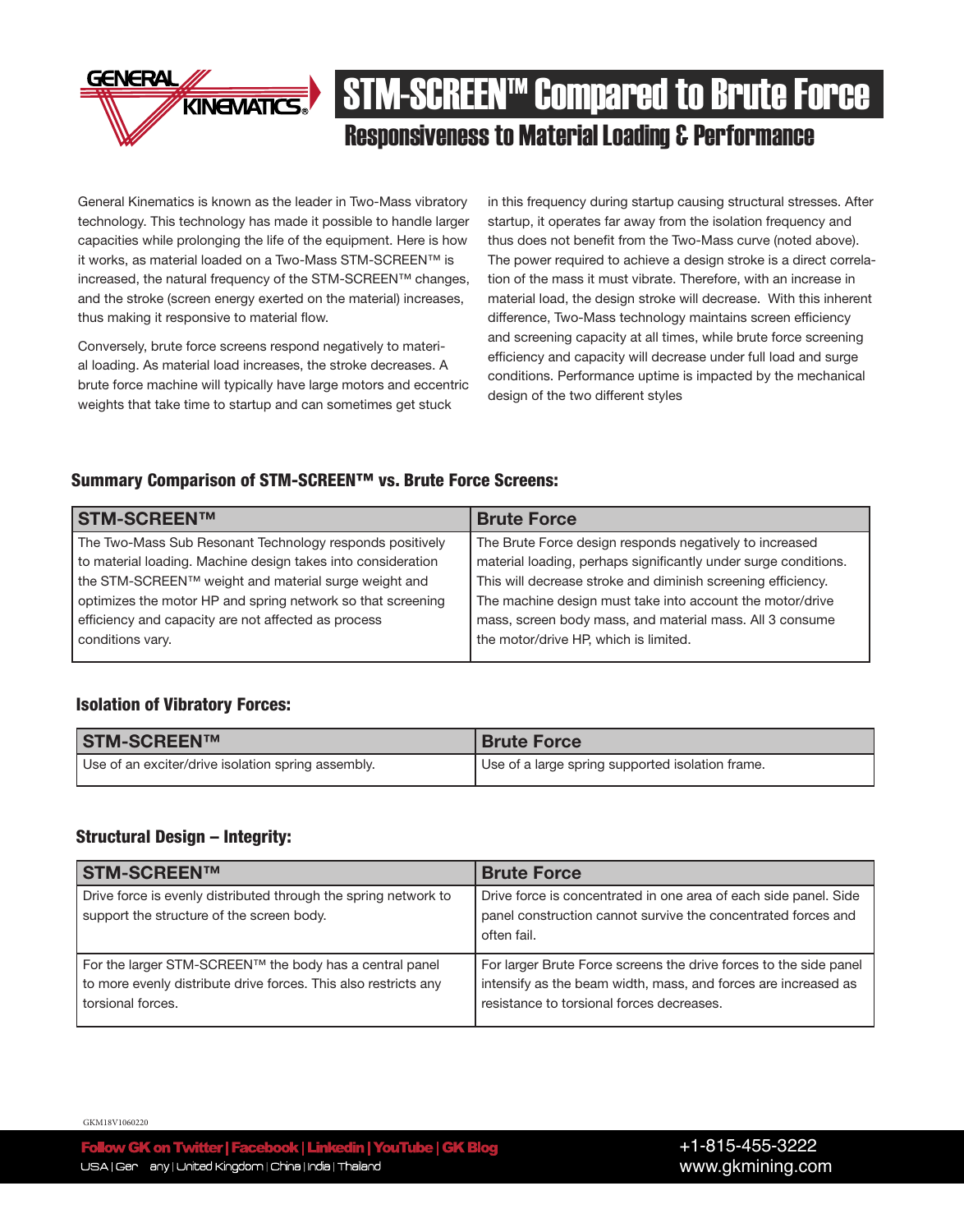

# **KINGWATICS:** STM-SCREEN<sup>IM</sup> Compared to Brute Force Responsiveness to Material Loading & Performance

General Kinematics is known as the leader in Two-Mass vibratory technology. This technology has made it possible to handle larger capacities while prolonging the life of the equipment. Here is how it works, as material loaded on a Two-Mass STM-SCREEN™ is increased, the natural frequency of the STM-SCREEN™ changes, and the stroke (screen energy exerted on the material) increases, thus making it responsive to material flow.

Conversely, brute force screens respond negatively to material loading. As material load increases, the stroke decreases. A brute force machine will typically have large motors and eccentric weights that take time to startup and can sometimes get stuck

in this frequency during startup causing structural stresses. After startup, it operates far away from the isolation frequency and thus does not benefit from the Two-Mass curve (noted above). The power required to achieve a design stroke is a direct correlation of the mass it must vibrate. Therefore, with an increase in material load, the design stroke will decrease. With this inherent difference, Two-Mass technology maintains screen efficiency and screening capacity at all times, while brute force screening efficiency and capacity will decrease under full load and surge conditions. Performance uptime is impacted by the mechanical design of the two different styles

### Summary Comparison of STM-SCREEN™ vs. Brute Force Screens:

| <b>STM-SCREEN™</b>                                           | <b>Brute Force</b>                                              |
|--------------------------------------------------------------|-----------------------------------------------------------------|
| The Two-Mass Sub Resonant Technology responds positively     | The Brute Force design responds negatively to increased         |
| to material loading. Machine design takes into consideration | material loading, perhaps significantly under surge conditions. |
| the STM-SCREEN™ weight and material surge weight and         | This will decrease stroke and diminish screening efficiency.    |
| optimizes the motor HP and spring network so that screening  | The machine design must take into account the motor/drive       |
| efficiency and capacity are not affected as process          | mass, screen body mass, and material mass. All 3 consume        |
| conditions vary.                                             | the motor/drive HP, which is limited.                           |
|                                                              |                                                                 |

### Isolation of Vibratory Forces:

| <b>STM-SCREEN™</b>                                 | <b>Brute Force</b>                               |
|----------------------------------------------------|--------------------------------------------------|
| Use of an exciter/drive isolation spring assembly. | Use of a large spring supported isolation frame. |

#### Structural Design – Integrity:

| <b>STM-SCREEN™</b>                                                                                                                              | <b>Brute Force</b>                                                                                                                                                               |
|-------------------------------------------------------------------------------------------------------------------------------------------------|----------------------------------------------------------------------------------------------------------------------------------------------------------------------------------|
| Drive force is evenly distributed through the spring network to<br>support the structure of the screen body.                                    | Drive force is concentrated in one area of each side panel. Side<br>panel construction cannot survive the concentrated forces and<br>often fail.                                 |
| For the larger STM-SCREEN™ the body has a central panel<br>to more evenly distribute drive forces. This also restricts any<br>torsional forces. | For larger Brute Force screens the drive forces to the side panel<br>intensify as the beam width, mass, and forces are increased as<br>resistance to torsional forces decreases. |

GKM18V1060220